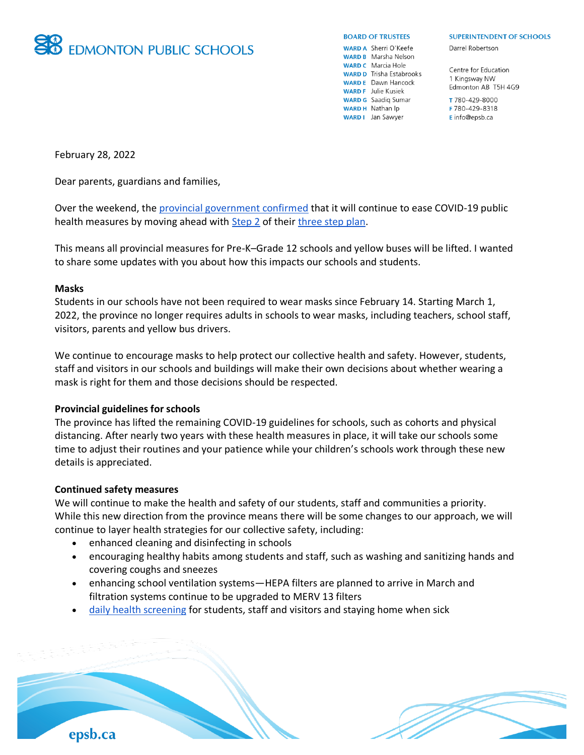

#### **BOARD OF TRUSTEES**

**WARD A** Sherri O'Keefe **WARD B** Marsha Nelson **WARD C** Marcia Hole **WARD D** Trisha Estabrooks **WARD E** Dawn Hancock **WARD F** Julie Kusiek **WARD G** Saadig Sumar WARD H Nathan Ip **WARD I** Jan Sawyer

#### **SUPERINTENDENT OF SCHOOLS**

Darrel Robertson

Centre for Education 1 Kingsway NW Edmonton AB T5H 4G9

T 780-429-8000 F 780-429-8318 E info@epsb.ca

February 28, 2022

Dear parents, guardians and families,

Over the weekend, the [provincial government confirmed](https://www.alberta.ca/release.cfm?xID=819882426C7C0-9FF7-BD6E-D0E4C55C8732EBD2) that it will continue to ease COVID-19 public health measures by moving ahead with **Step 2** of their [three step plan.](https://www.alberta.ca/covid-19-public-health-actions.aspx)

This means all provincial measures for Pre-K–Grade 12 schools and yellow buses will be lifted. I wanted to share some updates with you about how this impacts our schools and students.

## **Masks**

Students in our schools have not been required to wear masks since February 14. Starting March 1, 2022, the province no longer requires adults in schools to wear masks, including teachers, school staff, visitors, parents and yellow bus drivers.

We continue to encourage masks to help protect our collective health and safety. However, students, staff and visitors in our schools and buildings will make their own decisions about whether wearing a mask is right for them and those decisions should be respected.

## **Provincial guidelines for schools**

The province has lifted the remaining COVID-19 guidelines for schools, such as cohorts and physical distancing. After nearly two years with these health measures in place, it will take our schools some time to adjust their routines and your patience while your children's schools work through these new details is appreciated.

#### **Continued safety measures**

epsb.ca

We will continue to make the health and safety of our students, staff and communities a priority. While this new direction from the province means there will be some changes to our approach, we will continue to layer health strategies for our collective safety, including:

- enhanced cleaning and disinfecting in schools
- encouraging healthy habits among students and staff, such as washing and sanitizing hands and covering coughs and sneezes
- enhancing school ventilation systems—HEPA filters are planned to arrive in March and filtration systems continue to be upgraded to MERV 13 filters
- [daily health screening](https://open.alberta.ca/publications/covid-19-information-alberta-health-daily-checklist) for students, staff and visitors and staying home when sick